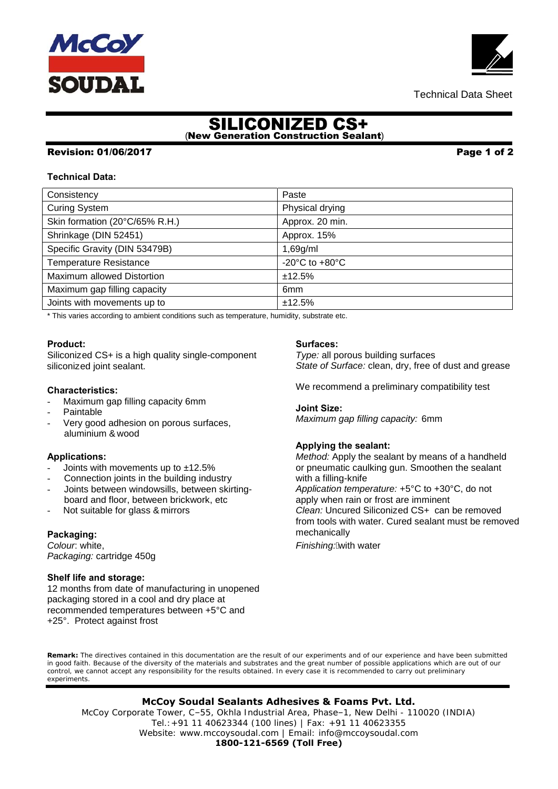# SILICONIZED CS+ (New Generation Construction Sealant)

### Revision: 01/06/2017 Page 1 of 2

#### **Technical Data:**

| Consistency                    | Paste                                                |
|--------------------------------|------------------------------------------------------|
| <b>Curing System</b>           | Physical drying                                      |
| Skin formation (20°C/65% R.H.) | Approx. 20 min.                                      |
| Shrinkage (DIN 52451)          | Approx. 15%                                          |
| Specific Gravity (DIN 53479B)  | 1,69g/ml                                             |
| <b>Temperature Resistance</b>  | -20 $\mathrm{^{\circ}C}$ to +80 $\mathrm{^{\circ}C}$ |
| Maximum allowed Distortion     | ±12.5%                                               |
| Maximum gap filling capacity   | 6 <sub>mm</sub>                                      |
| Joints with movements up to    | ±12.5%                                               |
|                                |                                                      |

\* This varies according to ambient conditions such as temperature, humidity, substrate etc.

#### **Product:**

Siliconiz ed CS+ is a high quality single-component siliconiz ed joint sealant.

#### **Characteristics:**

- Maximum gap filling capacity 6mm
- **Paintable**
- Very good adhesion on porous surfaces, aluminium & wood

#### **Applications:**

- Joints with movements up to  $±12.5%$
- Connection joints in the building industry
- Joints between windowsills, between skirtingboard and floor, between brickwork, etc
- Not suitable for glass & mirrors

#### **Packaging:**

*Colour*: white, *Packaging:* cartridge 450g

#### **Shelf life and storage:**

12 months from date of manufacturing in unopened packaging stored in a cool and dry place at recommended temperatures between +5°C and +25°. Protect against frost

#### **Surfaces:**

*Type:* all porous building surfaces *State of Surface:* clean, dry, free of dust and grease

We recommend a preliminary compatibility test

**Joint Size:** *Maximum gap filling capacity:* 6mm

#### **Applying the sealant:**

*Method:* Apply the sealant by means of a handheld or pneumatic caulking gun. Smoothen the sealant with a filling-knife *Application temperature:* +5°C to +30°C, do not apply when rain or frost are imminent *Clean:* Uncured Siliconiz ed CS+ can be removed from tools with water. Cured sealant must be removed mechanically

*Finishing:* A with water

**Remark:** The directives contained in this documentation are the result of our experiments and of our experience and have been submitted in good faith. Because of the diversity of the materials and substrates and the great number of possible applications which are out of our control, we cannot accept any responsibility for the results obtained. In every case it is recommended to carry out preliminary experiments.

**McCoy Soudal Sealants Adhesives & Foams Pvt. Ltd.**

 **1800-121-6569 (Toll Free)** McCoy Corporate Tower, C–55, Okhla Industrial Area, Phase–1, New Delhi - 110020 (INDIA) Tel.:+91 11 40623344 (100 lines) | Fax: +91 11 40623355 Website: www.mccoysoudal.com | Email: info@mccoysoudal.com



Technical Data Sheet